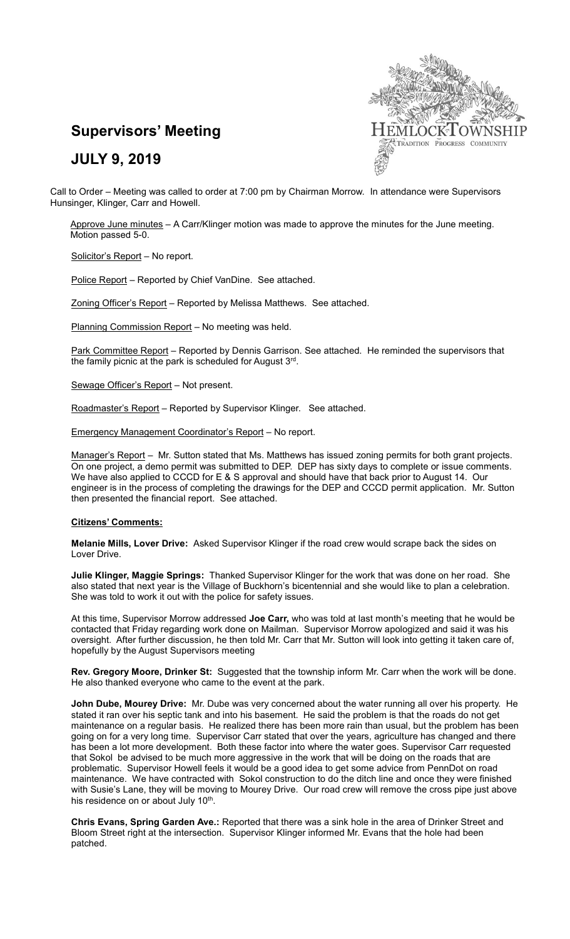

# **Supervisors' Meeting**

## **JULY 9, 2019**

Call to Order – Meeting was called to order at 7:00 pm by Chairman Morrow. In attendance were Supervisors Hunsinger, Klinger, Carr and Howell.

Approve June minutes - A Carr/Klinger motion was made to approve the minutes for the June meeting. Motion passed 5-0.

Solicitor's Report - No report.

Police Report – Reported by Chief VanDine. See attached.

Zoning Officer's Report – Reported by Melissa Matthews. See attached.

Planning Commission Report – No meeting was held.

Park Committee Report – Reported by Dennis Garrison. See attached. He reminded the supervisors that the family picnic at the park is scheduled for August 3rd.

Sewage Officer's Report – Not present.

Roadmaster's Report - Reported by Supervisor Klinger. See attached.

Emergency Management Coordinator's Report – No report.

Manager's Report - Mr. Sutton stated that Ms. Matthews has issued zoning permits for both grant projects. On one project, a demo permit was submitted to DEP. DEP has sixty days to complete or issue comments. We have also applied to CCCD for E & S approval and should have that back prior to August 14. Our engineer is in the process of completing the drawings for the DEP and CCCD permit application. Mr. Sutton then presented the financial report. See attached.

#### **Citizens' Comments:**

**Melanie Mills, Lover Drive:** Asked Supervisor Klinger if the road crew would scrape back the sides on Lover Drive.

**Julie Klinger, Maggie Springs:** Thanked Supervisor Klinger for the work that was done on her road. She also stated that next year is the Village of Buckhorn's bicentennial and she would like to plan a celebration. She was told to work it out with the police for safety issues.

At this time, Supervisor Morrow addressed **Joe Carr,** who was told at last month's meeting that he would be contacted that Friday regarding work done on Mailman. Supervisor Morrow apologized and said it was his oversight. After further discussion, he then told Mr. Carr that Mr. Sutton will look into getting it taken care of, hopefully by the August Supervisors meeting

**Rev. Gregory Moore, Drinker St:** Suggested that the township inform Mr. Carr when the work will be done. He also thanked everyone who came to the event at the park.

**John Dube, Mourey Drive:** Mr. Dube was very concerned about the water running all over his property. He stated it ran over his septic tank and into his basement. He said the problem is that the roads do not get maintenance on a regular basis. He realized there has been more rain than usual, but the problem has been going on for a very long time. Supervisor Carr stated that over the years, agriculture has changed and there has been a lot more development. Both these factor into where the water goes. Supervisor Carr requested that Sokol be advised to be much more aggressive in the work that will be doing on the roads that are problematic. Supervisor Howell feels it would be a good idea to get some advice from PennDot on road maintenance. We have contracted with Sokol construction to do the ditch line and once they were finished with Susie's Lane, they will be moving to Mourey Drive. Our road crew will remove the cross pipe just above his residence on or about July 10<sup>th</sup>.

**Chris Evans, Spring Garden Ave.:** Reported that there was a sink hole in the area of Drinker Street and Bloom Street right at the intersection. Supervisor Klinger informed Mr. Evans that the hole had been patched.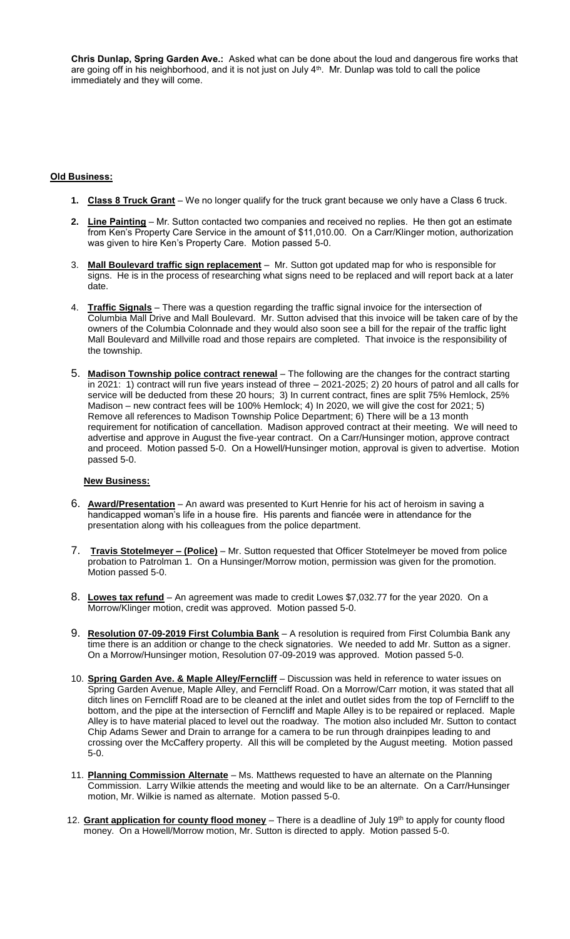**Chris Dunlap, Spring Garden Ave.:** Asked what can be done about the loud and dangerous fire works that are going off in his neighborhood, and it is not just on July 4<sup>th</sup>. Mr. Dunlap was told to call the police immediately and they will come.

#### **Old Business:**

- **1. Class 8 Truck Grant** We no longer qualify for the truck grant because we only have a Class 6 truck.
- **2. Line Painting** Mr. Sutton contacted two companies and received no replies. He then got an estimate from Ken's Property Care Service in the amount of \$11,010.00. On a Carr/Klinger motion, authorization was given to hire Ken's Property Care. Motion passed 5-0.
- 3. **Mall Boulevard traffic sign replacement** Mr. Sutton got updated map for who is responsible for signs. He is in the process of researching what signs need to be replaced and will report back at a later date.
- 4. **Traffic Signals** There was a question regarding the traffic signal invoice for the intersection of Columbia Mall Drive and Mall Boulevard. Mr. Sutton advised that this invoice will be taken care of by the owners of the Columbia Colonnade and they would also soon see a bill for the repair of the traffic light Mall Boulevard and Millville road and those repairs are completed. That invoice is the responsibility of the township.
- 5. **Madison Township police contract renewal** The following are the changes for the contract starting in 2021: 1) contract will run five years instead of three – 2021-2025; 2) 20 hours of patrol and all calls for service will be deducted from these 20 hours; 3) In current contract, fines are split 75% Hemlock, 25% Madison – new contract fees will be 100% Hemlock; 4) In 2020, we will give the cost for 2021; 5) Remove all references to Madison Township Police Department; 6) There will be a 13 month requirement for notification of cancellation. Madison approved contract at their meeting. We will need to advertise and approve in August the five-year contract. On a Carr/Hunsinger motion, approve contract and proceed. Motion passed 5-0. On a Howell/Hunsinger motion, approval is given to advertise. Motion passed 5-0.

#### **New Business:**

- 6. **Award/Presentation** An award was presented to Kurt Henrie for his act of heroism in saving a handicapped woman's life in a house fire. His parents and fiancée were in attendance for the presentation along with his colleagues from the police department.
- 7. **Travis Stotelmeyer – (Police)** Mr. Sutton requested that Officer Stotelmeyer be moved from police probation to Patrolman 1. On a Hunsinger/Morrow motion, permission was given for the promotion. Motion passed 5-0.
- 8. **Lowes tax refund** An agreement was made to credit Lowes \$7,032.77 for the year 2020. On a Morrow/Klinger motion, credit was approved. Motion passed 5-0.
- 9. **Resolution 07-09-2019 First Columbia Bank** A resolution is required from First Columbia Bank any time there is an addition or change to the check signatories. We needed to add Mr. Sutton as a signer. On a Morrow/Hunsinger motion, Resolution 07-09-2019 was approved. Motion passed 5-0.
- 10. **Spring Garden Ave. & Maple Alley/Ferncliff** Discussion was held in reference to water issues on Spring Garden Avenue, Maple Alley, and Ferncliff Road. On a Morrow/Carr motion, it was stated that all ditch lines on Ferncliff Road are to be cleaned at the inlet and outlet sides from the top of Ferncliff to the bottom, and the pipe at the intersection of Ferncliff and Maple Alley is to be repaired or replaced. Maple Alley is to have material placed to level out the roadway. The motion also included Mr. Sutton to contact Chip Adams Sewer and Drain to arrange for a camera to be run through drainpipes leading to and crossing over the McCaffery property. All this will be completed by the August meeting. Motion passed 5-0.
- 11. **Planning Commission Alternate** Ms. Matthews requested to have an alternate on the Planning Commission. Larry Wilkie attends the meeting and would like to be an alternate. On a Carr/Hunsinger motion, Mr. Wilkie is named as alternate. Motion passed 5-0.
- 12. **Grant application for county flood money** There is a deadline of July 19th to apply for county flood money. On a Howell/Morrow motion, Mr. Sutton is directed to apply. Motion passed 5-0.